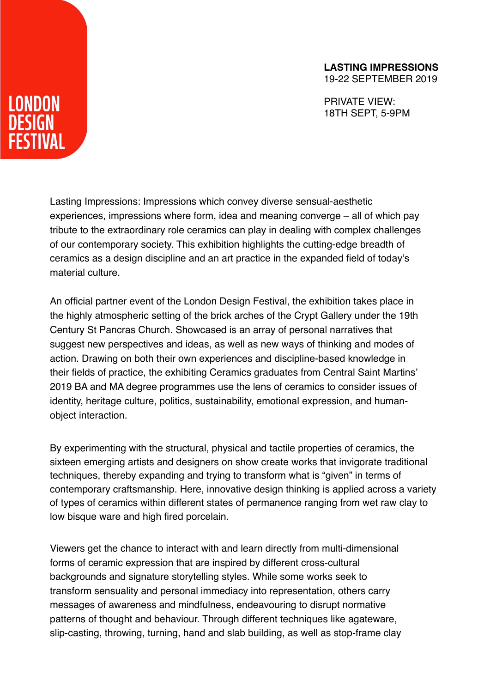## **LASTING IMPRESSIONS**

19-22 SEPTEMBER 2019

PRIVATE VIEW: 18TH SEPT, 5-9PM

LONDON **DESIGN STIVAL** 

> Lasting Impressions: Impressions which convey diverse sensual-aesthetic experiences, impressions where form, idea and meaning converge – all of which pay tribute to the extraordinary role ceramics can play in dealing with complex challenges of our contemporary society. This exhibition highlights the cutting-edge breadth of ceramics as a design discipline and an art practice in the expanded field of today's material culture.

> An official partner event of the London Design Festival, the exhibition takes place in the highly atmospheric setting of the brick arches of the Crypt Gallery under the 19th Century St Pancras Church. Showcased is an array of personal narratives that suggest new perspectives and ideas, as well as new ways of thinking and modes of action. Drawing on both their own experiences and discipline-based knowledge in their fields of practice, the exhibiting Ceramics graduates from Central Saint Martins' 2019 BA and MA degree programmes use the lens of ceramics to consider issues of identity, heritage culture, politics, sustainability, emotional expression, and humanobject interaction.

By experimenting with the structural, physical and tactile properties of ceramics, the sixteen emerging artists and designers on show create works that invigorate traditional techniques, thereby expanding and trying to transform what is "given" in terms of contemporary craftsmanship. Here, innovative design thinking is applied across a variety of types of ceramics within different states of permanence ranging from wet raw clay to low bisque ware and high fired porcelain.

Viewers get the chance to interact with and learn directly from multi-dimensional forms of ceramic expression that are inspired by different cross-cultural backgrounds and signature storytelling styles. While some works seek to transform sensuality and personal immediacy into representation, others carry messages of awareness and mindfulness, endeavouring to disrupt normative patterns of thought and behaviour. Through different techniques like agateware, slip-casting, throwing, turning, hand and slab building, as well as stop-frame clay